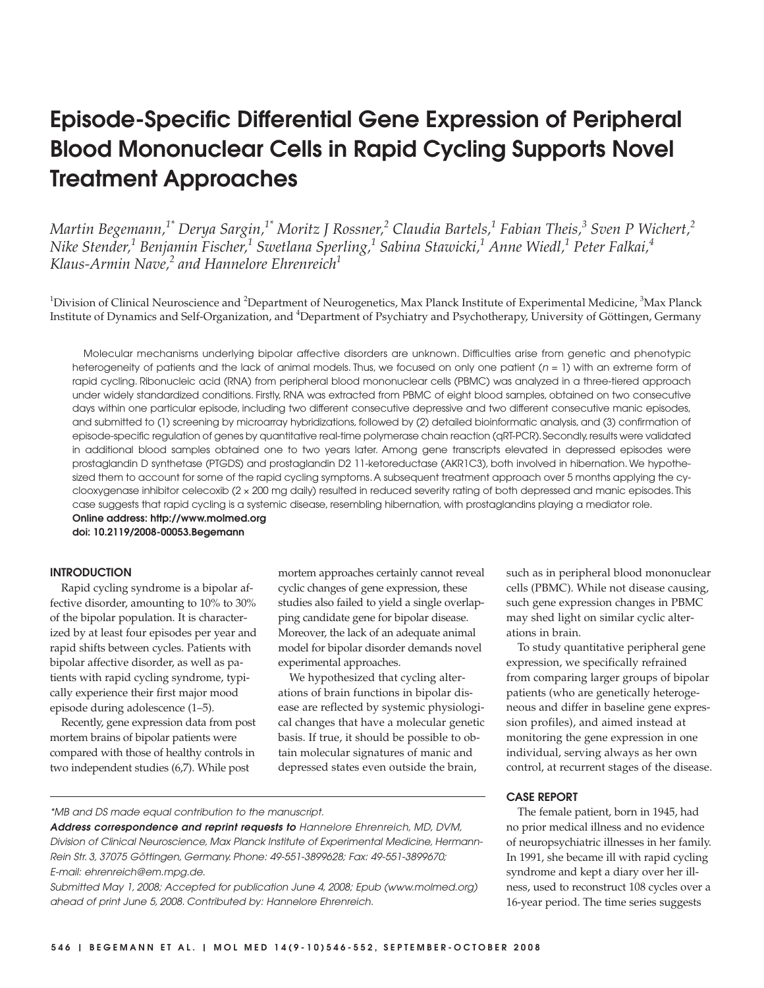# **Episode-Specific Differential Gene Expression of Peripheral Blood Mononuclear Cells in Rapid Cycling Supports Novel Treatment Approaches**

*Martin Begemann,1\* Derya Sargin,1\* Moritz J Rossner,<sup>2</sup> Claudia Bartels,<sup>1</sup> Fabian Theis,<sup>3</sup> Sven P Wichert,<sup>2</sup> Nike Stender,1 Benjamin Fischer,<sup>1</sup> Swetlana Sperling,1 Sabina Stawicki,1 Anne Wiedl,<sup>1</sup> Peter Falkai,4 Klaus-Armin Nave,2 and Hannelore Ehrenreich<sup>1</sup>*

<sup>1</sup>Division of Clinical Neuroscience and <sup>2</sup>Department of Neurogenetics, Max Planck Institute of Experimental Medicine, <sup>3</sup>Max Planck Institute of Dynamics and Self-Organization, and <sup>4</sup>Department of Psychiatry and Psychotherapy, University of Göttingen, Germany

Molecular mechanisms underlying bipolar affective disorders are unknown. Difficulties arise from genetic and phenotypic heterogeneity of patients and the lack of animal models. Thus, we focused on only one patient ( $n = 1$ ) with an extreme form of rapid cycling. Ribonucleic acid (RNA) from peripheral blood mononuclear cells (PBMC) was analyzed in a three-tiered approach under widely standardized conditions. Firstly, RNA was extracted from PBMC of eight blood samples, obtained on two consecutive days within one particular episode, including two different consecutive depressive and two different consecutive manic episodes, and submitted to (1) screening by microarray hybridizations, followed by (2) detailed bioinformatic analysis, and (3) confirmation of episode-specific regulation of genes by quantitative real-time polymerase chain reaction (qRT-PCR).Secondly,results were validated in additional blood samples obtained one to two years later. Among gene transcripts elevated in depressed episodes were prostaglandin D synthetase (PTGDS) and prostaglandin D2 11-ketoreductase (AKR1C3), both involved in hibernation. We hypothesized them to account for some of the rapid cycling symptoms. A subsequent treatment approach over 5 months applying the cyclooxygenase inhibitor celecoxib (2 × 200 mg daily) resulted in reduced severity rating of both depressed and manic episodes. This case suggests that rapid cycling is a systemic disease, resembling hibernation, with prostaglandins playing a mediator role.

**Online address: http://www.molmed.org doi: 10.2119/2008-00053.Begemann**

## **INTRODUCTION**

Rapid cycling syndrome is a bipolar affective disorder, amounting to 10% to 30% of the bipolar population. It is characterized by at least four episodes per year and rapid shifts between cycles. Patients with bipolar affective disorder, as well as patients with rapid cycling syndrome, typically experience their first major mood episode during adolescence (1–5).

Recently, gene expression data from post mortem brains of bipolar patients were compared with those of healthy controls in two independent studies (6,7). While post

mortem approaches certainly cannot reveal cyclic changes of gene expression, these studies also failed to yield a single overlapping candidate gene for bipolar disease. Moreover, the lack of an adequate animal model for bipolar disorder demands novel experimental approaches.

We hypothesized that cycling alterations of brain functions in bipolar disease are reflected by systemic physiological changes that have a molecular genetic basis. If true, it should be possible to obtain molecular signatures of manic and depressed states even outside the brain,

\*MB and DS made equal contribution to the manuscript.

**Address correspondence and reprint requests to** Hannelore Ehrenreich, MD, DVM, Division of Clinical Neuroscience, Max Planck Institute of Experimental Medicine, Hermann-Rein Str. 3, 37075 Göttingen, Germany. Phone: 49-551-3899628; Fax: 49-551-3899670; E-mail: ehrenreich@em.mpg.de.

Submitted May 1, 2008; Accepted for publication June 4, 2008; Epub (www.molmed.org) ahead of print June 5, 2008. Contributed by: Hannelore Ehrenreich.

such as in peripheral blood mononuclear cells (PBMC). While not disease causing, such gene expression changes in PBMC may shed light on similar cyclic alterations in brain.

To study quantitative peripheral gene expression, we specifically refrained from comparing larger groups of bipolar patients (who are genetically heterogeneous and differ in baseline gene expression profiles), and aimed instead at monitoring the gene expression in one individual, serving always as her own control, at recurrent stages of the disease.

## **CASE REPORT**

The female patient, born in 1945, had no prior medical illness and no evidence of neuropsychiatric illnesses in her family. In 1991, she became ill with rapid cycling syndrome and kept a diary over her illness, used to reconstruct 108 cycles over a 16-year period. The time series suggests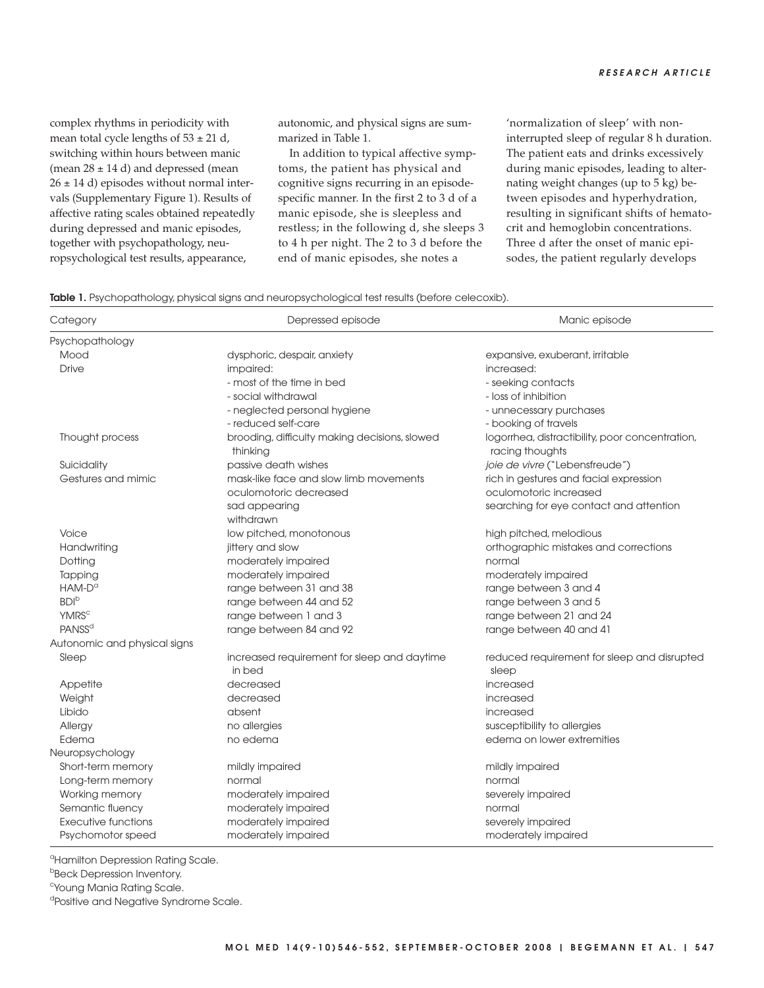complex rhythms in periodicity with mean total cycle lengths of  $53 \pm 21$  d, switching within hours between manic (mean  $28 \pm 14$  d) and depressed (mean  $26 \pm 14$  d) episodes without normal intervals (Supplementary Figure 1). Results of affective rating scales obtained repeatedly during depressed and manic episodes, together with psychopathology, neuropsychological test results, appearance,

autonomic, and physical signs are summarized in Table 1.

In addition to typical affective symptoms, the patient has physical and cognitive signs recurring in an episodespecific manner. In the first 2 to 3 d of a manic episode, she is sleepless and restless; in the following d, she sleeps 3 to 4 h per night. The 2 to 3 d before the end of manic episodes, she notes a

'normalization of sleep' with noninterrupted sleep of regular 8 h duration. The patient eats and drinks excessively during manic episodes, leading to alternating weight changes (up to 5 kg) between episodes and hyperhydration, resulting in significant shifts of hematocrit and hemoglobin concentrations. Three d after the onset of manic episodes, the patient regularly develops

|  |  |  | <b>Table 1.</b> Psychopathology, physical signs and neuropsychological test results (before celecoxib). |  |  |  |
|--|--|--|---------------------------------------------------------------------------------------------------------|--|--|--|
|--|--|--|---------------------------------------------------------------------------------------------------------|--|--|--|

| Category                     | Depressed episode                                         | Manic episode                                                      |  |
|------------------------------|-----------------------------------------------------------|--------------------------------------------------------------------|--|
| Psychopathology              |                                                           |                                                                    |  |
| Mood                         | dysphoric, despair, anxiety                               | expansive, exuberant, irritable                                    |  |
| <b>Drive</b>                 | impaired:                                                 | increased:                                                         |  |
|                              | - most of the time in bed                                 | - seeking contacts                                                 |  |
|                              | - social withdrawal                                       | - loss of inhibition                                               |  |
|                              | - neglected personal hygiene                              | - unnecessary purchases                                            |  |
|                              | - reduced self-care                                       | - booking of travels                                               |  |
| Thought process              | brooding, difficulty making decisions, slowed<br>thinking | logorrhea, distractibility, poor concentration,<br>racing thoughts |  |
| Suicidality                  | passive death wishes                                      | joie de vivre ("Lebensfreude")                                     |  |
| Gestures and mimic           | mask-like face and slow limb movements                    | rich in gestures and facial expression                             |  |
|                              | oculomotoric decreased                                    | oculomotoric increased                                             |  |
|                              | sad appearing<br>withdrawn                                | searching for eye contact and attention                            |  |
| Voice                        | low pitched, monotonous                                   | high pitched, melodious                                            |  |
| Handwriting                  | jittery and slow                                          | orthographic mistakes and corrections                              |  |
| Dotting                      | moderately impaired                                       | normal                                                             |  |
| Tapping                      | moderately impaired                                       | moderately impaired                                                |  |
| $HAM-D^{\alpha}$             | range between 31 and 38                                   | range between 3 and 4                                              |  |
| <b>BDI</b> b                 | range between 44 and 52                                   | range between 3 and 5                                              |  |
| <b>YMRS<sup>c</sup></b>      | range between 1 and 3                                     | range between 21 and 24                                            |  |
| <b>PANSS<sup>d</sup></b>     | range between 84 and 92                                   | range between 40 and 41                                            |  |
| Autonomic and physical signs |                                                           |                                                                    |  |
| Sleep                        | increased requirement for sleep and daytime<br>in bed     | reduced requirement for sleep and disrupted<br>sleep               |  |
| Appetite                     | decreased                                                 | increased                                                          |  |
| Weight                       | decreased                                                 | increased                                                          |  |
| Libido                       | absent                                                    | increased                                                          |  |
| Allergy                      | no allergies                                              | susceptibility to allergies                                        |  |
| Edema                        | no edema                                                  | edema on lower extremities                                         |  |
| Neuropsychology              |                                                           |                                                                    |  |
| Short-term memory            | mildly impaired                                           | mildly impaired                                                    |  |
| Long-term memory             | normal                                                    | normal                                                             |  |
| Working memory               | moderately impaired                                       | severely impaired                                                  |  |
| Semantic fluency             | moderately impaired                                       | normal                                                             |  |
| <b>Executive functions</b>   | moderately impaired                                       | severely impaired                                                  |  |
| Psychomotor speed            | moderately impaired                                       | moderately impaired                                                |  |

<sup>a</sup>Hamilton Depression Rating Scale.

**Beck Depression Inventory.** 

<sup>c</sup>Young Mania Rating Scale.

<sup>d</sup>Positive and Negative Syndrome Scale.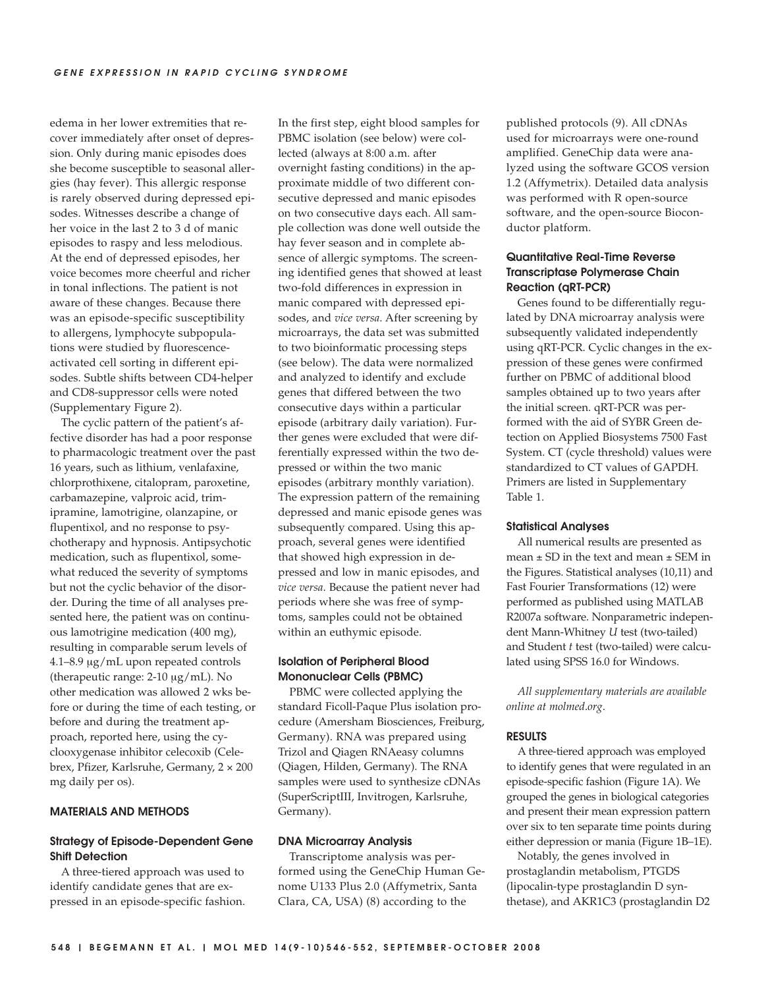edema in her lower extremities that recover immediately after onset of depression. Only during manic episodes does she become susceptible to seasonal allergies (hay fever). This allergic response is rarely observed during depressed episodes. Witnesses describe a change of her voice in the last 2 to 3 d of manic episodes to raspy and less melodious. At the end of depressed episodes, her voice becomes more cheerful and richer in tonal inflections. The patient is not aware of these changes. Because there was an episode-specific susceptibility to allergens, lymphocyte subpopulations were studied by fluorescenceactivated cell sorting in different episodes. Subtle shifts between CD4-helper and CD8-suppressor cells were noted (Supplementary Figure 2).

The cyclic pattern of the patient's affective disorder has had a poor response to pharmacologic treatment over the past 16 years, such as lithium, venlafaxine, chlorprothixene, citalopram, paroxetine, carbamazepine, valproic acid, trimipramine, lamotrigine, olanzapine, or flupentixol, and no response to psychotherapy and hypnosis. Antipsychotic medication, such as flupentixol, somewhat reduced the severity of symptoms but not the cyclic behavior of the disorder. During the time of all analyses presented here, the patient was on continuous lamotrigine medication (400 mg), resulting in comparable serum levels of 4.1–8.9 μg/mL upon repeated controls (therapeutic range: 2-10 μg/mL). No other medication was allowed 2 wks before or during the time of each testing, or before and during the treatment approach, reported here, using the cyclooxygenase inhibitor celecoxib (Celebrex, Pfizer, Karlsruhe, Germany, 2 × 200 mg daily per os).

## **MATERIALS AND METHODS**

## **Strategy of Episode-Dependent Gene Shift Detection**

A three-tiered approach was used to identify candidate genes that are expressed in an episode-specific fashion. In the first step, eight blood samples for PBMC isolation (see below) were collected (always at 8:00 a.m. after overnight fasting conditions) in the approximate middle of two different consecutive depressed and manic episodes on two consecutive days each. All sample collection was done well outside the hay fever season and in complete absence of allergic symptoms. The screening identified genes that showed at least two-fold differences in expression in manic compared with depressed episodes, and *vice versa*. After screening by microarrays, the data set was submitted to two bioinformatic processing steps (see below). The data were normalized and analyzed to identify and exclude genes that differed between the two consecutive days within a particular episode (arbitrary daily variation). Further genes were excluded that were differentially expressed within the two depressed or within the two manic episodes (arbitrary monthly variation). The expression pattern of the remaining depressed and manic episode genes was subsequently compared. Using this approach, several genes were identified that showed high expression in depressed and low in manic episodes, and *vice versa*. Because the patient never had periods where she was free of symptoms, samples could not be obtained within an euthymic episode.

## **Isolation of Peripheral Blood Mononuclear Cells (PBMC)**

PBMC were collected applying the standard Ficoll-Paque Plus isolation procedure (Amersham Biosciences, Freiburg, Germany). RNA was prepared using Trizol and Qiagen RNAeasy columns (Qiagen, Hilden, Germany). The RNA samples were used to synthesize cDNAs (SuperScriptIII, Invitrogen, Karlsruhe, Germany).

## **DNA Microarray Analysis**

Transcriptome analysis was performed using the GeneChip Human Genome U133 Plus 2.0 (Affymetrix, Santa Clara, CA, USA) (8) according to the

published protocols (9). All cDNAs used for microarrays were one-round amplified. GeneChip data were analyzed using the software GCOS version 1.2 (Affymetrix). Detailed data analysis was performed with R open-source software, and the open-source Bioconductor platform.

## **Quantitative Real-Time Reverse Transcriptase Polymerase Chain Reaction (qRT-PCR)**

Genes found to be differentially regulated by DNA microarray analysis were subsequently validated independently using qRT-PCR. Cyclic changes in the expression of these genes were confirmed further on PBMC of additional blood samples obtained up to two years after the initial screen. qRT-PCR was performed with the aid of SYBR Green detection on Applied Biosystems 7500 Fast System. CT (cycle threshold) values were standardized to CT values of GAPDH. Primers are listed in Supplementary Table 1.

## **Statistical Analyses**

All numerical results are presented as mean  $\pm$  SD in the text and mean  $\pm$  SEM in the Figures. Statistical analyses (10,11) and Fast Fourier Transformations (12) were performed as published using MATLAB R2007a software. Nonparametric independent Mann-Whitney *U* test (two-tailed) and Student *t* test (two-tailed) were calculated using SPSS 16.0 for Windows.

*All supplementary materials are available online at molmed*.*org*.

## **RESULTS**

A three-tiered approach was employed to identify genes that were regulated in an episode-specific fashion (Figure 1A). We grouped the genes in biological categories and present their mean expression pattern over six to ten separate time points during either depression or mania (Figure 1B–1E).

Notably, the genes involved in prostaglandin metabolism, PTGDS (lipocalin-type prostaglandin D synthetase), and AKR1C3 (prostaglandin D2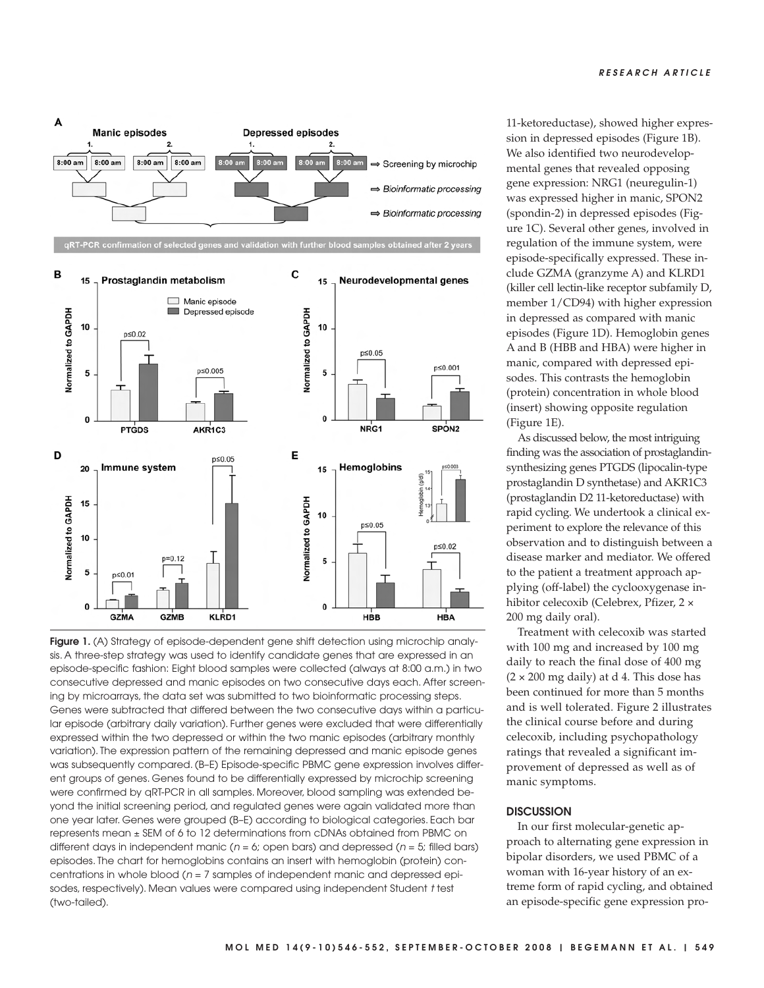

**Figure 1.** (A) Strategy of episode-dependent gene shift detection using microchip analysis. A three-step strategy was used to identify candidate genes that are expressed in an episode-specific fashion: Eight blood samples were collected (always at 8:00 a.m.) in two consecutive depressed and manic episodes on two consecutive days each. After screening by microarrays, the data set was submitted to two bioinformatic processing steps. Genes were subtracted that differed between the two consecutive days within a particular episode (arbitrary daily variation). Further genes were excluded that were differentially expressed within the two depressed or within the two manic episodes (arbitrary monthly variation). The expression pattern of the remaining depressed and manic episode genes was subsequently compared. (B–E) Episode-specific PBMC gene expression involves different groups of genes. Genes found to be differentially expressed by microchip screening were confirmed by qRT-PCR in all samples. Moreover, blood sampling was extended beyond the initial screening period, and regulated genes were again validated more than one year later. Genes were grouped (B–E) according to biological categories. Each bar represents mean ± SEM of 6 to 12 determinations from cDNAs obtained from PBMC on different days in independent manic ( $n = 6$ ; open bars) and depressed ( $n = 5$ ; filled bars) episodes. The chart for hemoglobins contains an insert with hemoglobin (protein) concentrations in whole blood ( $n = 7$  samples of independent manic and depressed episodes, respectively). Mean values were compared using independent Student t test (two-tailed).

11-ketoreductase), showed higher expression in depressed episodes (Figure 1B). We also identified two neurodevelopmental genes that revealed opposing gene expression: NRG1 (neuregulin-1) was expressed higher in manic, SPON2 (spondin-2) in depressed episodes (Figure 1C). Several other genes, involved in regulation of the immune system, were episode-specifically expressed. These include GZMA (granzyme A) and KLRD1 (killer cell lectin-like receptor subfamily D, member 1/CD94) with higher expression in depressed as compared with manic episodes (Figure 1D). Hemoglobin genes A and B (HBB and HBA) were higher in manic, compared with depressed episodes. This contrasts the hemoglobin (protein) concentration in whole blood (insert) showing opposite regulation (Figure 1E).

As discussed below, the most intriguing finding was the association of prostaglandinsynthesizing genes PTGDS (lipocalin-type prostaglandin D synthetase) and AKR1C3 (prostaglandin D2 11-ketoreductase) with rapid cycling. We undertook a clinical experiment to explore the relevance of this observation and to distinguish between a disease marker and mediator. We offered to the patient a treatment approach applying (off-label) the cyclooxygenase inhibitor celecoxib (Celebrex, Pfizer, 2 × 200 mg daily oral).

Treatment with celecoxib was started with 100 mg and increased by 100 mg daily to reach the final dose of 400 mg  $(2 \times 200 \text{ mg daily})$  at d 4. This dose has been continued for more than 5 months and is well tolerated. Figure 2 illustrates the clinical course before and during celecoxib, including psychopathology ratings that revealed a significant improvement of depressed as well as of manic symptoms.

## **DISCUSSION**

In our first molecular-genetic approach to alternating gene expression in bipolar disorders, we used PBMC of a woman with 16-year history of an extreme form of rapid cycling, and obtained an episode-specific gene expression pro-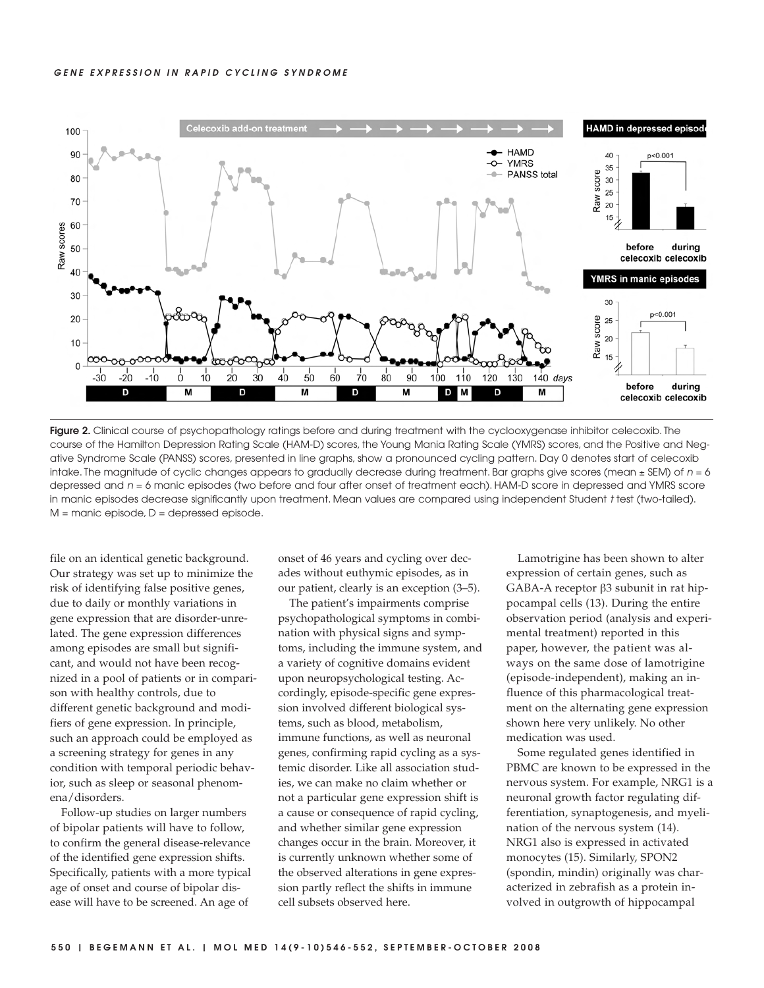

**Figure 2.** Clinical course of psychopathology ratings before and during treatment with the cyclooxygenase inhibitor celecoxib. The course of the Hamilton Depression Rating Scale (HAM-D) scores, the Young Mania Rating Scale (YMRS) scores, and the Positive and Negative Syndrome Scale (PANSS) scores, presented in line graphs, show a pronounced cycling pattern. Day 0 denotes start of celecoxib intake. The magnitude of cyclic changes appears to gradually decrease during treatment. Bar graphs give scores (mean  $\pm$  SEM) of  $n = 6$ depressed and  $n = 6$  manic episodes (two before and four after onset of treatment each). HAM-D score in depressed and YMRS score in manic episodes decrease significantly upon treatment. Mean values are compared using independent Student t test (two-tailed). M = manic episode, D = depressed episode.

file on an identical genetic background. Our strategy was set up to minimize the risk of identifying false positive genes, due to daily or monthly variations in gene expression that are disorder-unrelated. The gene expression differences among episodes are small but significant, and would not have been recognized in a pool of patients or in comparison with healthy controls, due to different genetic background and modifiers of gene expression. In principle, such an approach could be employed as a screening strategy for genes in any condition with temporal periodic behavior, such as sleep or seasonal phenomena/disorders.

Follow-up studies on larger numbers of bipolar patients will have to follow, to confirm the general disease-relevance of the identified gene expression shifts. Specifically, patients with a more typical age of onset and course of bipolar disease will have to be screened. An age of

onset of 46 years and cycling over decades without euthymic episodes, as in our patient, clearly is an exception (3–5).

The patient's impairments comprise psychopathological symptoms in combination with physical signs and symptoms, including the immune system, and a variety of cognitive domains evident upon neuropsychological testing. Accordingly, episode-specific gene expression involved different biological systems, such as blood, metabolism, immune functions, as well as neuronal genes, confirming rapid cycling as a systemic disorder. Like all association studies, we can make no claim whether or not a particular gene expression shift is a cause or consequence of rapid cycling, and whether similar gene expression changes occur in the brain. Moreover, it is currently unknown whether some of the observed alterations in gene expression partly reflect the shifts in immune cell subsets observed here.

Lamotrigine has been shown to alter expression of certain genes, such as GABA-A receptor β3 subunit in rat hippocampal cells (13). During the entire observation period (analysis and experimental treatment) reported in this paper, however, the patient was always on the same dose of lamotrigine (episode-independent), making an influence of this pharmacological treatment on the alternating gene expression shown here very unlikely. No other medication was used.

Some regulated genes identified in PBMC are known to be expressed in the nervous system. For example, NRG1 is a neuronal growth factor regulating differentiation, synaptogenesis, and myelination of the nervous system (14). NRG1 also is expressed in activated monocytes (15). Similarly, SPON2 (spondin, mindin) originally was characterized in zebrafish as a protein involved in outgrowth of hippocampal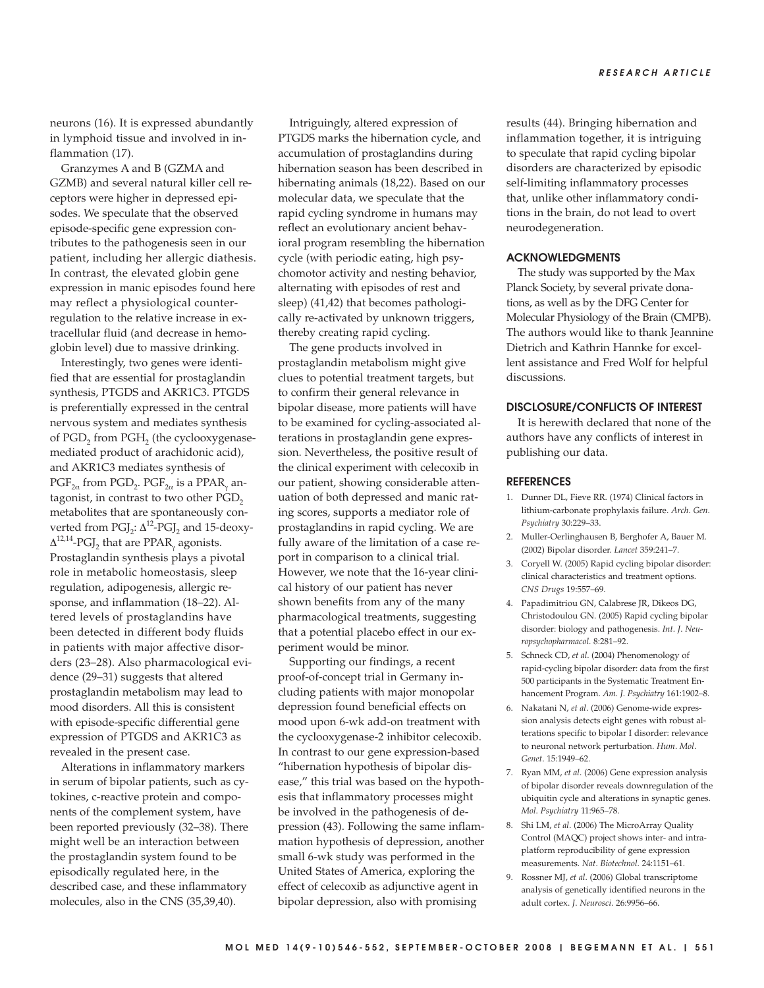neurons (16). It is expressed abundantly in lymphoid tissue and involved in inflammation (17).

Granzymes A and B (GZMA and GZMB) and several natural killer cell receptors were higher in depressed episodes. We speculate that the observed episode-specific gene expression contributes to the pathogenesis seen in our patient, including her allergic diathesis. In contrast, the elevated globin gene expression in manic episodes found here may reflect a physiological counterregulation to the relative increase in extracellular fluid (and decrease in hemoglobin level) due to massive drinking.

Interestingly, two genes were identified that are essential for prostaglandin synthesis, PTGDS and AKR1C3. PTGDS is preferentially expressed in the central nervous system and mediates synthesis of PGD<sub>2</sub> from PGH<sub>2</sub> (the cyclooxygenasemediated product of arachidonic acid), and AKR1C3 mediates synthesis of  $PGF_{2\alpha}$  from PGD<sub>2</sub>. PGF<sub>2 $\alpha$ </sub> is a PPAR<sub> $\alpha$ </sub> antagonist, in contrast to two other PGD<sub>2</sub> metabolites that are spontaneously converted from  $PGJ_2$ :  $\Delta^{12}$ -PGJ<sub>2</sub> and 15-deoxy- $\Delta^{12,14}$ -PGJ<sub>2</sub> that are PPAR<sub>v</sub> agonists. Prostaglandin synthesis plays a pivotal role in metabolic homeostasis, sleep regulation, adipogenesis, allergic response, and inflammation (18–22). Altered levels of prostaglandins have been detected in different body fluids in patients with major affective disorders (23–28). Also pharmacological evidence (29–31) suggests that altered prostaglandin metabolism may lead to mood disorders. All this is consistent with episode-specific differential gene expression of PTGDS and AKR1C3 as revealed in the present case.

Alterations in inflammatory markers in serum of bipolar patients, such as cytokines, c-reactive protein and components of the complement system, have been reported previously (32–38). There might well be an interaction between the prostaglandin system found to be episodically regulated here, in the described case, and these inflammatory molecules, also in the CNS (35,39,40).

Intriguingly, altered expression of PTGDS marks the hibernation cycle, and accumulation of prostaglandins during hibernation season has been described in hibernating animals (18,22). Based on our molecular data, we speculate that the rapid cycling syndrome in humans may reflect an evolutionary ancient behavioral program resembling the hibernation cycle (with periodic eating, high psychomotor activity and nesting behavior, alternating with episodes of rest and sleep) (41,42) that becomes pathologically re-activated by unknown triggers, thereby creating rapid cycling.

The gene products involved in prostaglandin metabolism might give clues to potential treatment targets, but to confirm their general relevance in bipolar disease, more patients will have to be examined for cycling-associated alterations in prostaglandin gene expression. Nevertheless, the positive result of the clinical experiment with celecoxib in our patient, showing considerable attenuation of both depressed and manic rating scores, supports a mediator role of prostaglandins in rapid cycling. We are fully aware of the limitation of a case report in comparison to a clinical trial. However, we note that the 16-year clinical history of our patient has never shown benefits from any of the many pharmacological treatments, suggesting that a potential placebo effect in our experiment would be minor.

Supporting our findings, a recent proof-of-concept trial in Germany including patients with major monopolar depression found beneficial effects on mood upon 6-wk add-on treatment with the cyclooxygenase-2 inhibitor celecoxib. In contrast to our gene expression-based "hibernation hypothesis of bipolar disease," this trial was based on the hypothesis that inflammatory processes might be involved in the pathogenesis of depression (43). Following the same inflammation hypothesis of depression, another small 6-wk study was performed in the United States of America, exploring the effect of celecoxib as adjunctive agent in bipolar depression, also with promising

results (44). Bringing hibernation and inflammation together, it is intriguing to speculate that rapid cycling bipolar disorders are characterized by episodic self-limiting inflammatory processes that, unlike other inflammatory conditions in the brain, do not lead to overt neurodegeneration.

## **ACKNOWLEDGMENTS**

The study was supported by the Max Planck Society, by several private donations, as well as by the DFG Center for Molecular Physiology of the Brain (CMPB). The authors would like to thank Jeannine Dietrich and Kathrin Hannke for excellent assistance and Fred Wolf for helpful discussions.

## **DISCLOSURE/CONFLICTS OF INTEREST**

It is herewith declared that none of the authors have any conflicts of interest in publishing our data.

#### **REFERENCES**

- 1. Dunner DL, Fieve RR. (1974) Clinical factors in lithium-carbonate prophylaxis failure. *Arch*. *Gen*. *Psychiatry* 30:229–33.
- 2. Muller-Oerlinghausen B, Berghofer A, Bauer M. (2002) Bipolar disorder. *Lancet* 359:241–7.
- 3. Coryell W. (2005) Rapid cycling bipolar disorder: clinical characteristics and treatment options. *CNS Drugs* 19:557–69.
- 4. Papadimitriou GN, Calabrese JR, Dikeos DG, Christodoulou GN. (2005) Rapid cycling bipolar disorder: biology and pathogenesis. *Int*. *J*. *Neuropsychopharmacol*. 8:281–92.
- 5. Schneck CD, *et al*. (2004) Phenomenology of rapid-cycling bipolar disorder: data from the first 500 participants in the Systematic Treatment Enhancement Program. *Am*. *J*. *Psychiatry* 161:1902–8.
- 6. Nakatani N, *et al*. (2006) Genome-wide expression analysis detects eight genes with robust alterations specific to bipolar I disorder: relevance to neuronal network perturbation. *Hum*. *Mol*. *Genet*. 15:1949–62.
- 7. Ryan MM, *et al*. (2006) Gene expression analysis of bipolar disorder reveals downregulation of the ubiquitin cycle and alterations in synaptic genes. *Mol*. *Psychiatry* 11:965–78.
- 8. Shi LM, *et al*. (2006) The MicroArray Quality Control (MAQC) project shows inter- and intraplatform reproducibility of gene expression measurements. *Nat*. *Biotechnol*. 24:1151–61.
- 9. Rossner MJ, *et al*. (2006) Global transcriptome analysis of genetically identified neurons in the adult cortex. *J*. *Neurosci*. 26:9956–66.